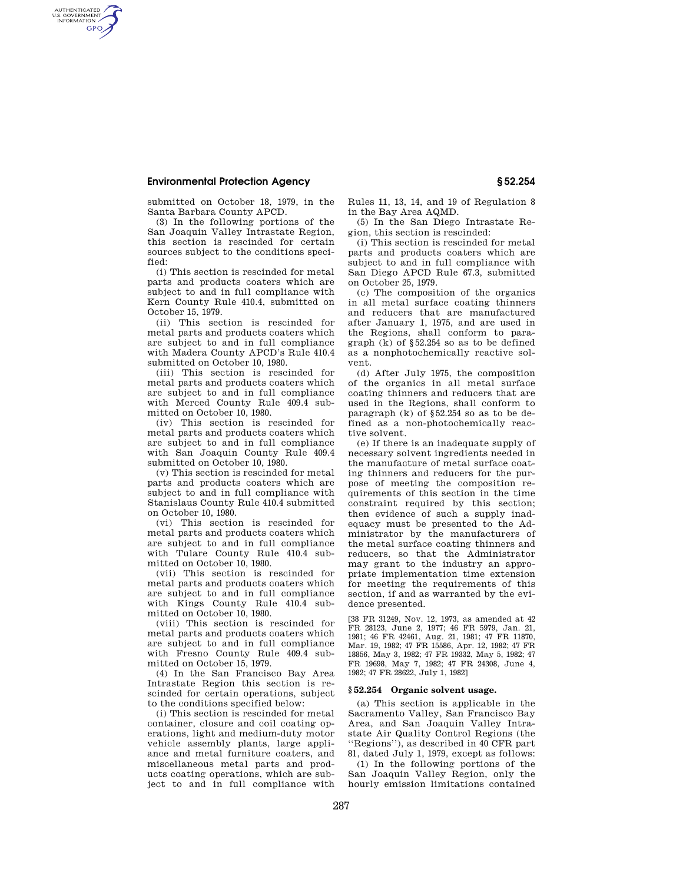## **Environmental Protection Agency § 52.254**

AUTHENTICATED<br>U.S. GOVERNMENT<br>INFORMATION **GPO** 

submitted on October 18, 1979, in the Santa Barbara County APCD.

(3) In the following portions of the San Joaquin Valley Intrastate Region, this section is rescinded for certain sources subject to the conditions specified:

(i) This section is rescinded for metal parts and products coaters which are subject to and in full compliance with Kern County Rule 410.4, submitted on October 15, 1979.

(ii) This section is rescinded for metal parts and products coaters which are subject to and in full compliance with Madera County APCD's Rule 410.4 submitted on October 10, 1980.

(iii) This section is rescinded for metal parts and products coaters which are subject to and in full compliance with Merced County Rule 409.4 submitted on October 10, 1980.

(iv) This section is rescinded for metal parts and products coaters which are subject to and in full compliance with San Joaquin County Rule 409.4 submitted on October 10, 1980.

(v) This section is rescinded for metal parts and products coaters which are subject to and in full compliance with Stanislaus County Rule 410.4 submitted on October 10, 1980.

(vi) This section is rescinded for metal parts and products coaters which are subject to and in full compliance with Tulare County Rule 410.4 submitted on October 10, 1980.

(vii) This section is rescinded for metal parts and products coaters which are subject to and in full compliance with Kings County Rule 410.4 submitted on October 10, 1980.

(viii) This section is rescinded for metal parts and products coaters which are subject to and in full compliance with Fresno County Rule 409.4 submitted on October 15, 1979.

(4) In the San Francisco Bay Area Intrastate Region this section is rescinded for certain operations, subject to the conditions specified below:

(i) This section is rescinded for metal container, closure and coil coating operations, light and medium-duty motor vehicle assembly plants, large appliance and metal furniture coaters, and miscellaneous metal parts and products coating operations, which are subject to and in full compliance with Rules 11, 13, 14, and 19 of Regulation 8 in the Bay Area AQMD.

(5) In the San Diego Intrastate Region, this section is rescinded:

(i) This section is rescinded for metal parts and products coaters which are subject to and in full compliance with San Diego APCD Rule 67.3, submitted on October 25, 1979.

(c) The composition of the organics in all metal surface coating thinners and reducers that are manufactured after January 1, 1975, and are used in the Regions, shall conform to paragraph  $(k)$  of §52.254 so as to be defined as a nonphotochemically reactive solvent.

(d) After July 1975, the composition of the organics in all metal surface coating thinners and reducers that are used in the Regions, shall conform to paragraph (k) of §52.254 so as to be defined as a non-photochemically reactive solvent.

(e) If there is an inadequate supply of necessary solvent ingredients needed in the manufacture of metal surface coating thinners and reducers for the purpose of meeting the composition requirements of this section in the time constraint required by this section; then evidence of such a supply inadequacy must be presented to the Administrator by the manufacturers of the metal surface coating thinners and reducers, so that the Administrator may grant to the industry an appropriate implementation time extension for meeting the requirements of this section, if and as warranted by the evidence presented.

[38 FR 31249, Nov. 12, 1973, as amended at 42 FR 28123, June 2, 1977; 46 FR 5979, Jan. 21, 1981; 46 FR 42461, Aug. 21, 1981; 47 FR 11870, Mar. 19, 1982; 47 FR 15586, Apr. 12, 1982; 47 FR 18856, May 3, 1982; 47 FR 19332, May 5, 1982; 47 FR 19698, May 7, 1982; 47 FR 24308, June 4, 1982; 47 FR 28622, July 1, 1982]

#### **§ 52.254 Organic solvent usage.**

(a) This section is applicable in the Sacramento Valley, San Francisco Bay Area, and San Joaquin Valley Intrastate Air Quality Control Regions (the ''Regions''), as described in 40 CFR part 81, dated July 1, 1979, except as follows:

(1) In the following portions of the San Joaquin Valley Region, only the hourly emission limitations contained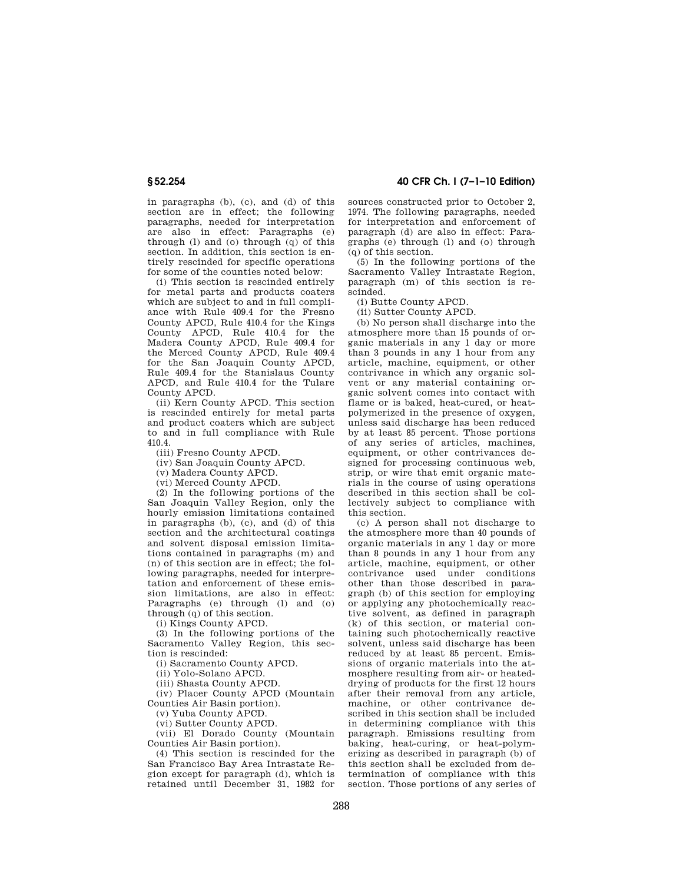in paragraphs (b), (c), and (d) of this section are in effect; the following paragraphs, needed for interpretation are also in effect: Paragraphs (e) through  $(l)$  and  $(o)$  through  $(q)$  of this section. In addition, this section is entirely rescinded for specific operations for some of the counties noted below:

(i) This section is rescinded entirely for metal parts and products coaters which are subject to and in full compliance with Rule 409.4 for the Fresno County APCD, Rule 410.4 for the Kings County APCD, Rule 410.4 for the Madera County APCD, Rule 409.4 for the Merced County APCD, Rule 409.4 for the San Joaquin County APCD, Rule 409.4 for the Stanislaus County APCD, and Rule 410.4 for the Tulare County APCD.

(ii) Kern County APCD. This section is rescinded entirely for metal parts and product coaters which are subject to and in full compliance with Rule 410.4.

(iii) Fresno County APCD.

(iv) San Joaquin County APCD.

(v) Madera County APCD.

(vi) Merced County APCD.

(2) In the following portions of the San Joaquin Valley Region, only the hourly emission limitations contained in paragraphs (b), (c), and (d) of this section and the architectural coatings and solvent disposal emission limitations contained in paragraphs (m) and  $(n)$  of this section are in effect; the following paragraphs, needed for interpretation and enforcement of these emission limitations, are also in effect: Paragraphs (e) through (l) and (o) through  $(q)$  of this section.

(i) Kings County APCD.

(3) In the following portions of the Sacramento Valley Region, this section is rescinded:

(i) Sacramento County APCD.

(ii) Yolo-Solano APCD.

(iii) Shasta County APCD.

(iv) Placer County APCD (Mountain Counties Air Basin portion).

(v) Yuba County APCD.

(vi) Sutter County APCD.

(vii) El Dorado County (Mountain Counties Air Basin portion).

(4) This section is rescinded for the San Francisco Bay Area Intrastate Region except for paragraph (d), which is retained until December 31, 1982 for

**§ 52.254 40 CFR Ch. I (7–1–10 Edition)** 

sources constructed prior to October 2, 1974. The following paragraphs, needed for interpretation and enforcement of paragraph (d) are also in effect: Paragraphs (e) through (l) and (o) through (q) of this section.

 $(5)$  In the following portions of the Sacramento Valley Intrastate Region, paragraph (m) of this section is rescinded.

(i) Butte County APCD.

(ii) Sutter County APCD.

(b) No person shall discharge into the atmosphere more than 15 pounds of organic materials in any 1 day or more than 3 pounds in any 1 hour from any article, machine, equipment, or other contrivance in which any organic solvent or any material containing organic solvent comes into contact with flame or is baked, heat-cured, or heatpolymerized in the presence of oxygen, unless said discharge has been reduced by at least 85 percent. Those portions of any series of articles, machines, equipment, or other contrivances designed for processing continuous web, strip, or wire that emit organic materials in the course of using operations described in this section shall be collectively subject to compliance with this section.

(c) A person shall not discharge to the atmosphere more than 40 pounds of organic materials in any 1 day or more than 8 pounds in any 1 hour from any article, machine, equipment, or other contrivance used under conditions other than those described in paragraph (b) of this section for employing or applying any photochemically reactive solvent, as defined in paragraph (k) of this section, or material containing such photochemically reactive solvent, unless said discharge has been reduced by at least 85 percent. Emissions of organic materials into the atmosphere resulting from air- or heateddrying of products for the first 12 hours after their removal from any article, machine, or other contrivance described in this section shall be included in determining compliance with this paragraph. Emissions resulting from baking, heat-curing, or heat-polymerizing as described in paragraph (b) of this section shall be excluded from determination of compliance with this section. Those portions of any series of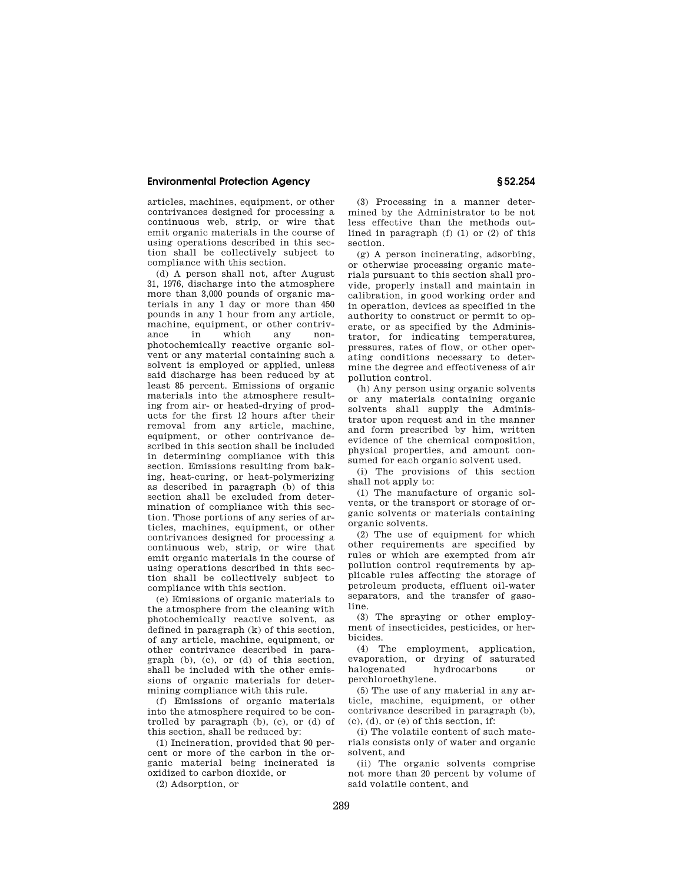# **Environmental Protection Agency § 52.254**

articles, machines, equipment, or other contrivances designed for processing a continuous web, strip, or wire that emit organic materials in the course of using operations described in this section shall be collectively subject to compliance with this section.

(d) A person shall not, after August 31, 1976, discharge into the atmosphere more than 3,000 pounds of organic materials in any 1 day or more than 450 pounds in any 1 hour from any article, machine, equipment, or other contrivance in which any nonphotochemically reactive organic solvent or any material containing such a solvent is employed or applied, unless said discharge has been reduced by at least 85 percent. Emissions of organic materials into the atmosphere resulting from air- or heated-drying of products for the first 12 hours after their removal from any article, machine, equipment, or other contrivance described in this section shall be included in determining compliance with this section. Emissions resulting from baking, heat-curing, or heat-polymerizing as described in paragraph (b) of this section shall be excluded from determination of compliance with this section. Those portions of any series of articles, machines, equipment, or other contrivances designed for processing a continuous web, strip, or wire that emit organic materials in the course of using operations described in this section shall be collectively subject to compliance with this section.

(e) Emissions of organic materials to the atmosphere from the cleaning with photochemically reactive solvent, as defined in paragraph (k) of this section, of any article, machine, equipment, or other contrivance described in paragraph (b), (c), or (d) of this section, shall be included with the other emissions of organic materials for determining compliance with this rule.

(f) Emissions of organic materials into the atmosphere required to be controlled by paragraph (b), (c), or (d) of this section, shall be reduced by:

(1) Incineration, provided that 90 percent or more of the carbon in the organic material being incinerated is oxidized to carbon dioxide, or

(2) Adsorption, or

(3) Processing in a manner determined by the Administrator to be not less effective than the methods outlined in paragraph (f) (1) or (2) of this section.

(g) A person incinerating, adsorbing, or otherwise processing organic materials pursuant to this section shall provide, properly install and maintain in calibration, in good working order and in operation, devices as specified in the authority to construct or permit to operate, or as specified by the Administrator, for indicating temperatures, pressures, rates of flow, or other operating conditions necessary to determine the degree and effectiveness of air pollution control.

(h) Any person using organic solvents or any materials containing organic solvents shall supply the Administrator upon request and in the manner and form prescribed by him, written evidence of the chemical composition, physical properties, and amount consumed for each organic solvent used.

(i) The provisions of this section shall not apply to:

(1) The manufacture of organic solvents, or the transport or storage of organic solvents or materials containing organic solvents.

(2) The use of equipment for which other requirements are specified by rules or which are exempted from air pollution control requirements by applicable rules affecting the storage of petroleum products, effluent oil-water separators, and the transfer of gasoline.

(3) The spraying or other employment of insecticides, pesticides, or herbicides.

(4) The employment, application, evaporation, or drying of saturated halogenated hydrocarbons or perchloroethylene.

(5) The use of any material in any article, machine, equipment, or other contrivance described in paragraph (b), (c), (d), or (e) of this section, if:

(i) The volatile content of such materials consists only of water and organic solvent, and

(ii) The organic solvents comprise not more than 20 percent by volume of said volatile content, and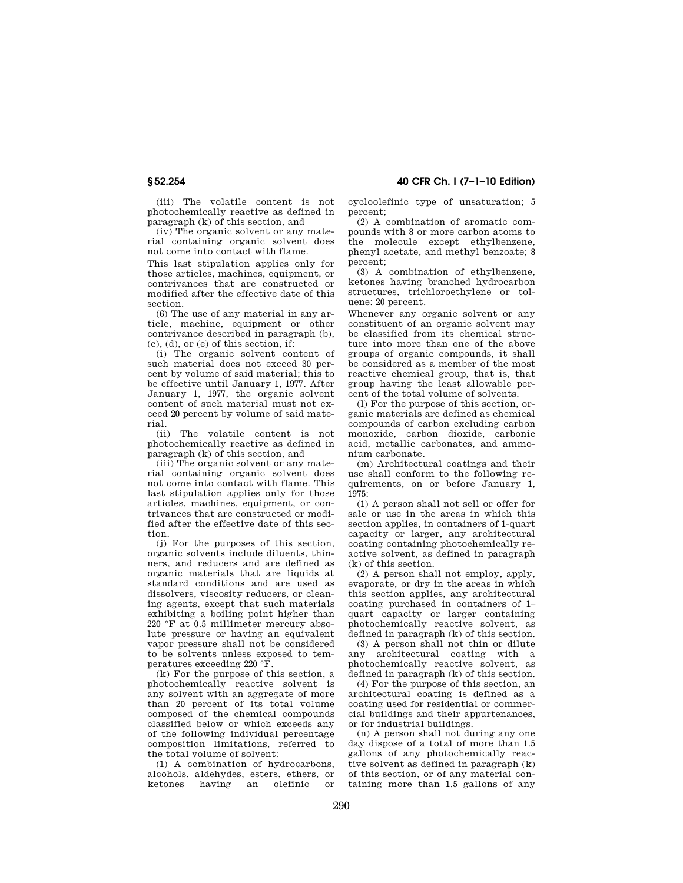**§ 52.254 40 CFR Ch. I (7–1–10 Edition)** 

(iii) The volatile content is not photochemically reactive as defined in paragraph (k) of this section, and

(iv) The organic solvent or any material containing organic solvent does not come into contact with flame.

This last stipulation applies only for those articles, machines, equipment, or contrivances that are constructed or modified after the effective date of this section.

(6) The use of any material in any article, machine, equipment or other contrivance described in paragraph (b), (c), (d), or (e) of this section, if:

(i) The organic solvent content of such material does not exceed 30 percent by volume of said material; this to be effective until January 1, 1977. After January 1, 1977, the organic solvent content of such material must not exceed 20 percent by volume of said material.

(ii) The volatile content is not photochemically reactive as defined in paragraph (k) of this section, and

(iii) The organic solvent or any material containing organic solvent does not come into contact with flame. This last stipulation applies only for those articles, machines, equipment, or contrivances that are constructed or modified after the effective date of this section.

(j) For the purposes of this section, organic solvents include diluents, thinners, and reducers and are defined as organic materials that are liquids at standard conditions and are used as dissolvers, viscosity reducers, or cleaning agents, except that such materials exhibiting a boiling point higher than 220 °F at 0.5 millimeter mercury absolute pressure or having an equivalent vapor pressure shall not be considered to be solvents unless exposed to temperatures exceeding 220 °F.

(k) For the purpose of this section, a photochemically reactive solvent is any solvent with an aggregate of more than 20 percent of its total volume composed of the chemical compounds classified below or which exceeds any of the following individual percentage composition limitations, referred to the total volume of solvent:

(1) A combination of hydrocarbons, alcohols, aldehydes, esters, ethers, or olefinic or cycloolefinic type of unsaturation; 5 percent;

(2) A combination of aromatic compounds with 8 or more carbon atoms to the molecule except ethylbenzene, phenyl acetate, and methyl benzoate; 8 percent;

(3) A combination of ethylbenzene, ketones having branched hydrocarbon structures, trichloroethylene or toluene: 20 percent.

Whenever any organic solvent or any constituent of an organic solvent may be classified from its chemical structure into more than one of the above groups of organic compounds, it shall be considered as a member of the most reactive chemical group, that is, that group having the least allowable percent of the total volume of solvents.

(l) For the purpose of this section, organic materials are defined as chemical compounds of carbon excluding carbon monoxide, carbon dioxide, carbonic acid, metallic carbonates, and ammonium carbonate.

(m) Architectural coatings and their use shall conform to the following requirements, on or before January 1, 1975:

(1) A person shall not sell or offer for sale or use in the areas in which this section applies, in containers of 1-quart capacity or larger, any architectural coating containing photochemically reactive solvent, as defined in paragraph (k) of this section.

(2) A person shall not employ, apply, evaporate, or dry in the areas in which this section applies, any architectural coating purchased in containers of 1– quart capacity or larger containing photochemically reactive solvent, as defined in paragraph (k) of this section.

(3) A person shall not thin or dilute any architectural coating with a photochemically reactive solvent, as defined in paragraph (k) of this section.

(4) For the purpose of this section, an architectural coating is defined as a coating used for residential or commercial buildings and their appurtenances, or for industrial buildings.

(n) A person shall not during any one day dispose of a total of more than 1.5 gallons of any photochemically reactive solvent as defined in paragraph (k) of this section, or of any material containing more than 1.5 gallons of any